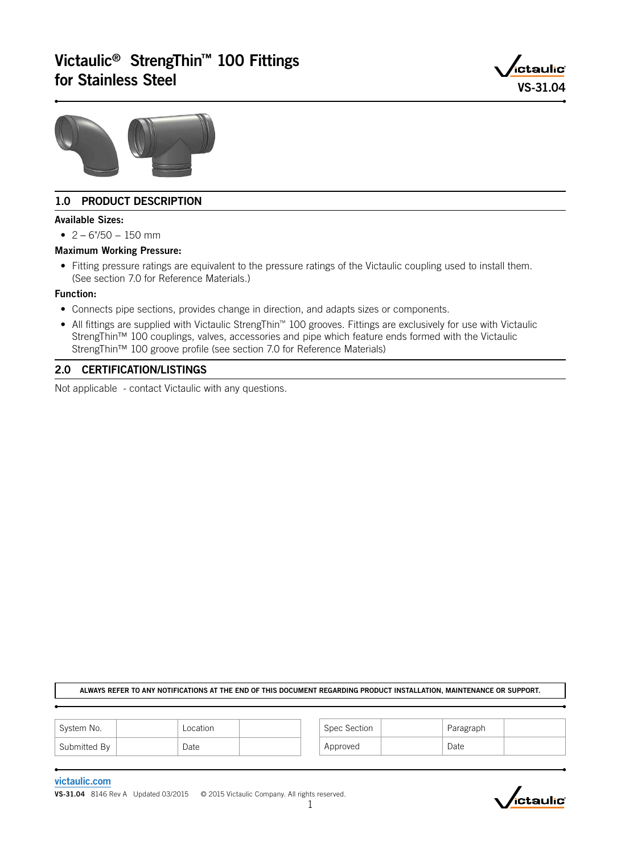# Victaulic® StrengThin™ 100 Fittings victaulic<sup>®</sup> Strengthin 100 Fittings<br>for Stainless Steel VS-31.04





# 1.0 PRODUCT DESCRIPTION

#### Available Sizes:

• 2 – 6"/50 − 150 mm

#### Maximum Working Pressure:

• Fitting pressure ratings are equivalent to the pressure ratings of the Victaulic coupling used to install them. (See section 7.0 for Reference Materials.)

#### Function:

- Connects pipe sections, provides change in direction, and adapts sizes or components.
- All fittings are supplied with Victaulic StrengThin™ 100 grooves. Fittings are exclusively for use with Victaulic StrengThin™ 100 couplings, valves, accessories and pipe which feature ends formed with the Victaulic StrengThin™ 100 groove profile (see section 7.0 for Reference Materials)

# 2.0 CERTIFICATION/LISTINGS

Not applicable - contact Victaulic with any questions.

#### ALWAYS REFER TO ANY NOTIFICATIONS AT THE END OF THIS DOCUMENT REGARDING PRODUCT INSTALLATION, MAINTENANCE OR SUPPORT.

| System No.   | Location | Spec Section | Paragraph |  |
|--------------|----------|--------------|-----------|--|
| Submitted By | Date     | Approved     | Date      |  |

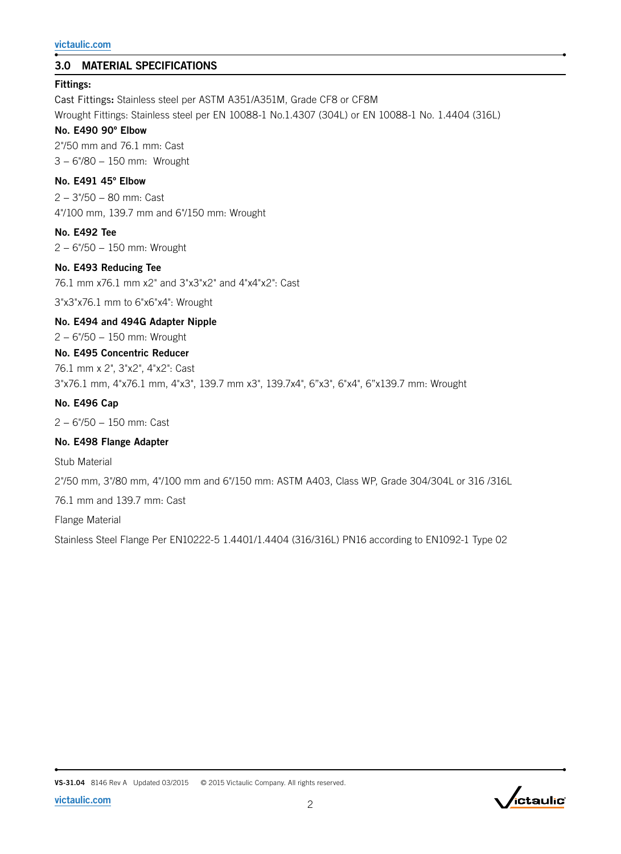# 3.0 MATERIAL SPECIFICATIONS

#### Fittings:

Cast Fittings: Stainless steel per ASTM A351/A351M, Grade CF8 or CF8M Wrought Fittings: Stainless steel per EN 10088-1 No.1.4307 (304L) or EN 10088-1 No. 1.4404 (316L)

# No. E490 90º Elbow

2"/50 mm and 76.1 mm: Cast 3 − 6"/80 − 150 mm: Wrought

#### No. E491 45º Elbow

2 − 3"/50 − 80 mm: Cast 4"/100 mm, 139.7 mm and 6"/150 mm: Wrought

#### No. E492 Tee

2 − 6"/50 − 150 mm: Wrought

#### No. E493 Reducing Tee

76.1 mm x76.1 mm x2" and 3"x3"x2" and 4"x4"x2": Cast

3"x3"x76.1 mm to 6"x6"x4": Wrought

#### No. E494 and 494G Adapter Nipple

2 − 6"/50 − 150 mm: Wrought

# No. E495 Concentric Reducer

76.1 mm x 2", 3"x2", 4"x2": Cast

3"x76.1 mm, 4"x76.1 mm, 4"x3", 139.7 mm x3", 139.7x4", 6"x3", 6"x4", 6"x139.7 mm: Wrought

# No. E496 Cap

2 − 6"/50 − 150 mm: Cast

# No. E498 Flange Adapter

Stub Material

2"/50 mm, 3"/80 mm, 4"/100 mm and 6"/150 mm: ASTM A403, Class WP, Grade 304/304L or 316 /316L

76.1 mm and 139.7 mm: Cast

Flange Material

Stainless Steel Flange Per EN10222-5 1.4401/1.4404 (316/316L) PN16 according to EN1092-1 Type 02



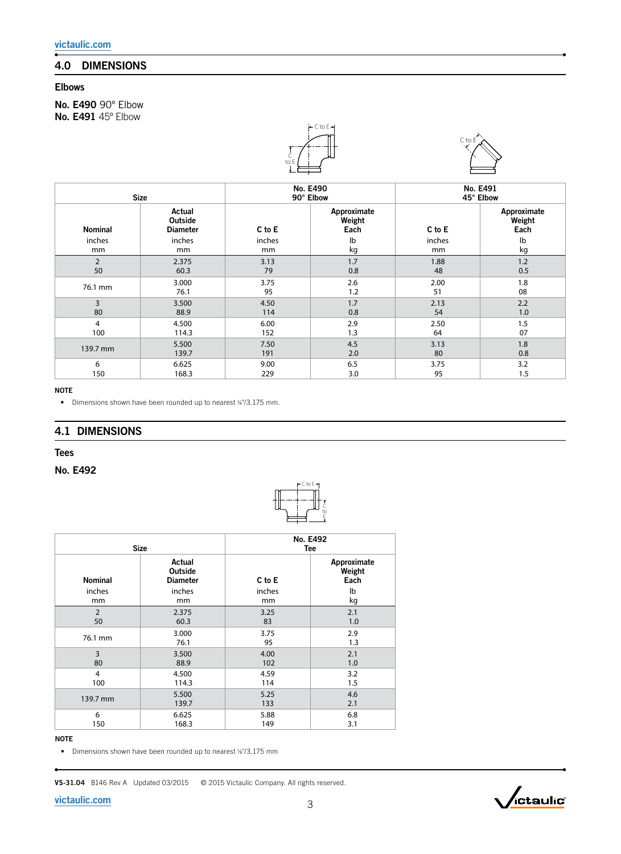# 4.0 DIMENSIONS

# Elbows

No. E490 90° Elbow No. E491 45° Elbow





| <b>Size</b>    |                                             | No. E490<br>90° Elbow |                               | No. E491<br>45° Elbow |                               |
|----------------|---------------------------------------------|-----------------------|-------------------------------|-----------------------|-------------------------------|
| <b>Nominal</b> | Actual<br><b>Outside</b><br><b>Diameter</b> | C to E                | Approximate<br>Weight<br>Each | C to E                | Approximate<br>Weight<br>Each |
| inches         | inches                                      | inches                | lb                            | inches                | Ib                            |
| mm             | <sub>mm</sub>                               | mm                    | kg                            | mm                    | kg                            |
| 2              | 2.375                                       | 3.13                  | 1.7                           | 1.88                  | 1.2                           |
| 50             | 60.3                                        | 79                    | 0.8                           | 48                    | 0.5                           |
| 76.1 mm        | 3.000                                       | 3.75                  | 2.6                           | 2.00                  | 1.8                           |
|                | 76.1                                        | 95                    | 1.2                           | 51                    | 08                            |
| 3              | 3.500                                       | 4.50                  | 1.7                           | 2.13                  | 2.2                           |
| 80             | 88.9                                        | 114                   | 0.8                           | 54                    | 1.0                           |
| 4              | 4.500                                       | 6.00                  | 2.9                           | 2.50                  | 1.5                           |
| 100            | 114.3                                       | 152                   | 1.3                           | 64                    | 07                            |
| 139.7 mm       | 5.500                                       | 7.50                  | 4.5                           | 3.13                  | 1.8                           |
|                | 139.7                                       | 191                   | 2.0                           | 80                    | 0.8                           |
| 6              | 6.625                                       | 9.00                  | 6.5                           | 3.75                  | 3.2                           |
| 150            | 168.3                                       | 229                   | 3.0                           | 95                    | 1.5                           |

C to E

C to

#### NOTE

• Dimensions shown have been rounded up to nearest %"/3.175 mm.

### 4.1 DIMENSIONS

#### Tees

#### No. E492

| <b>Size</b>    |                                      | No. E492<br>Tee |                               |  |
|----------------|--------------------------------------|-----------------|-------------------------------|--|
| <b>Nominal</b> | Actual<br>Outside<br><b>Diameter</b> | C to E          | Approximate<br>Weight<br>Each |  |
| inches         | inches                               | inches          | lb                            |  |
| mm             | mm                                   | mm              | kg                            |  |
| $\overline{2}$ | 2.375                                | 3.25            | 2.1                           |  |
| 50             | 60.3                                 | 83              | 1.0                           |  |
| 76.1 mm        | 3.000                                | 3.75            | 2.9                           |  |
|                | 76.1                                 | 95              | 1.3                           |  |
| 3              | 3.500                                | 4.00            | 2.1                           |  |
| 80             | 88.9                                 | 102             | 1.0                           |  |
| 4              | 4.500                                | 4.59            | 3.2                           |  |
| 100            | 114.3                                | 114             | 1.5                           |  |
| 139.7 mm       | 5.500                                | 5.25            | 4.6                           |  |
|                | 139.7                                | 133             | 2.1                           |  |
| 6              | 6.625                                | 5.88            | 6.8                           |  |
| 150            | 168.3                                | 149             | 3.1                           |  |

#### NOTE

• Dimensions shown have been rounded up to nearest %"/3.175 mm

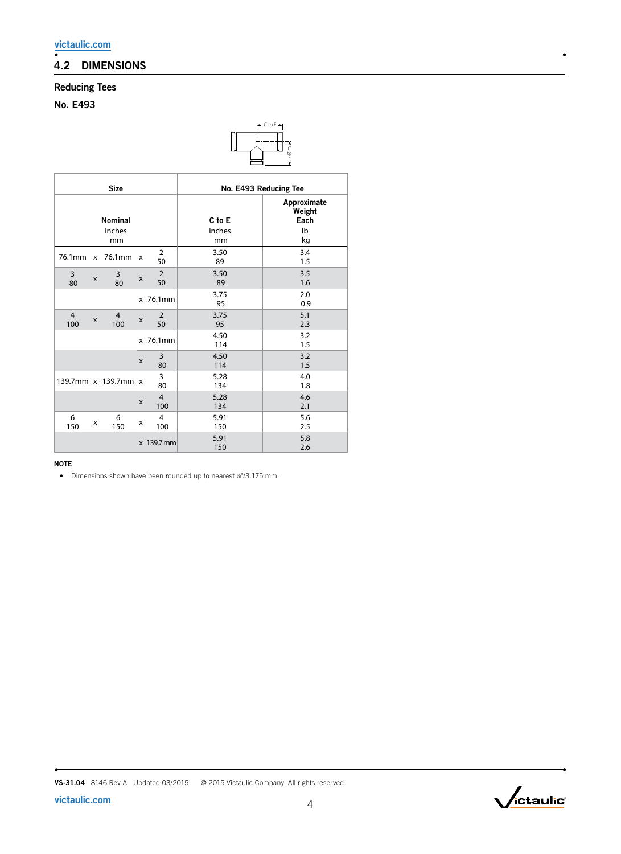# 4.2 DIMENSIONS

# Reducing Tees

No. E493



| <b>Size</b>           |              |                                |   |                       | No. E493 Reducing Tee  |                                           |  |
|-----------------------|--------------|--------------------------------|---|-----------------------|------------------------|-------------------------------------------|--|
|                       |              | <b>Nominal</b><br>inches<br>mm |   |                       | C to E<br>inches<br>mm | Approximate<br>Weight<br>Each<br>lb<br>kg |  |
| 76.1mm                | $\mathsf{x}$ | 76.1mm                         | X | $\overline{2}$<br>50  | 3.50<br>89             | 3.4<br>1.5                                |  |
| 3<br>80               | X            | 3<br>80                        | X | 2<br>50               | 3.50<br>89             | 3.5<br>1.6                                |  |
|                       |              |                                |   | x 76.1mm              | 3.75<br>95             | 2.0<br>0.9                                |  |
| $\overline{4}$<br>100 | X            | $\overline{4}$<br>100          | X | 2<br>50               | 3.75<br>95             | 5.1<br>2.3                                |  |
|                       |              |                                |   | x 76.1mm              | 4.50<br>114            | 3.2<br>1.5                                |  |
|                       |              |                                | X | 3<br>80               | 4.50<br>114            | 3.2<br>1.5                                |  |
|                       |              | 139.7mm x 139.7mm x            |   | 3<br>80               | 5.28<br>134            | 4.0<br>1.8                                |  |
|                       |              |                                | X | $\overline{4}$<br>100 | 5.28<br>134            | 4.6<br>2.1                                |  |
| 6<br>150              | x            | 6<br>150                       | x | $\overline{4}$<br>100 | 5.91<br>150            | 5.6<br>2.5                                |  |
|                       |              |                                |   | x 139.7 mm            | 5.91<br>150            | 5.8<br>2.6                                |  |

NOTE

• Dimensions shown have been rounded up to nearest 1/8"/3.175 mm.

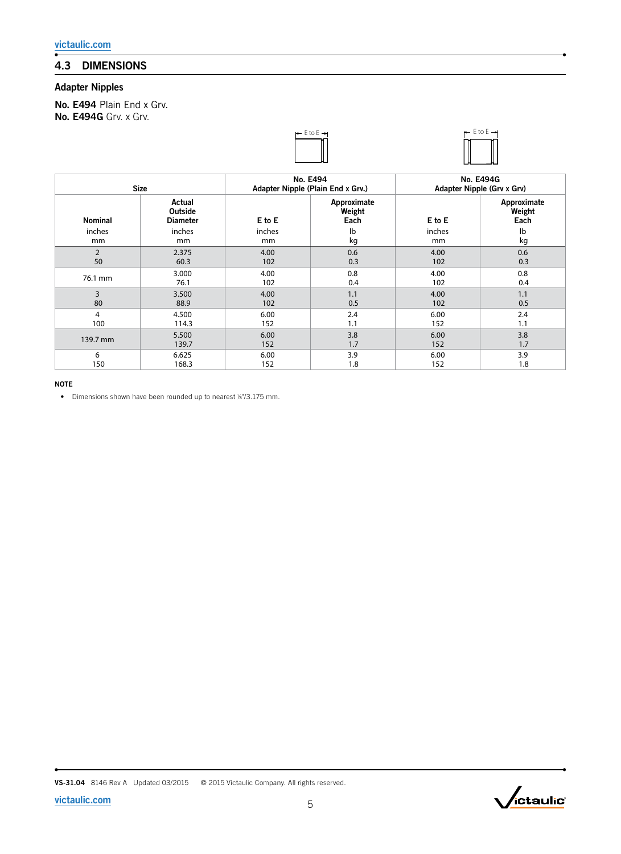# 4.3 DIMENSIONS

# Adapter Nipples

No. E494 Plain End x Grv. No. E494G Grv. x Grv.





| <b>Size</b>    |                                      |        | No. E494<br>Adapter Nipple (Plain End x Grv.) | <b>No. E494G</b><br>Adapter Nipple (Grv x Grv) |                               |
|----------------|--------------------------------------|--------|-----------------------------------------------|------------------------------------------------|-------------------------------|
| <b>Nominal</b> | Actual<br>Outside<br><b>Diameter</b> | E to E | Approximate<br>Weight<br>Each                 | E to E                                         | Approximate<br>Weight<br>Each |
| inches         | inches                               | inches | lb                                            | inches                                         | lb                            |
| mm             | mm                                   | mm     | kg                                            | mm                                             | kg                            |
| $\overline{2}$ | 2.375                                | 4.00   | 0.6                                           | 4.00                                           | 0.6                           |
| 50             | 60.3                                 | 102    | 0.3                                           | 102                                            | 0.3                           |
| 76.1 mm        | 3.000                                | 4.00   | 0.8                                           | 4.00                                           | 0.8                           |
|                | 76.1                                 | 102    | 0.4                                           | 102                                            | 0.4                           |
| 3              | 3.500                                | 4.00   | 1.1                                           | 4.00                                           | 1.1                           |
| 80             | 88.9                                 | 102    | 0.5                                           | 102                                            | 0.5                           |
| $\overline{4}$ | 4.500                                | 6.00   | 2.4                                           | 6.00                                           | 2.4                           |
| 100            | 114.3                                | 152    | 1.1                                           | 152                                            | 1.1                           |
| 139.7 mm       | 5.500                                | 6.00   | 3.8                                           | 6.00                                           | 3.8                           |
|                | 139.7                                | 152    | 1.7                                           | 152                                            | 1.7                           |
| 6              | 6.625                                | 6.00   | 3.9                                           | 6.00                                           | 3.9                           |
| 150            | 168.3                                | 152    | 1.8                                           | 152                                            | 1.8                           |

NOTE

• Dimensions shown have been rounded up to nearest 1/8"/3.175 mm.



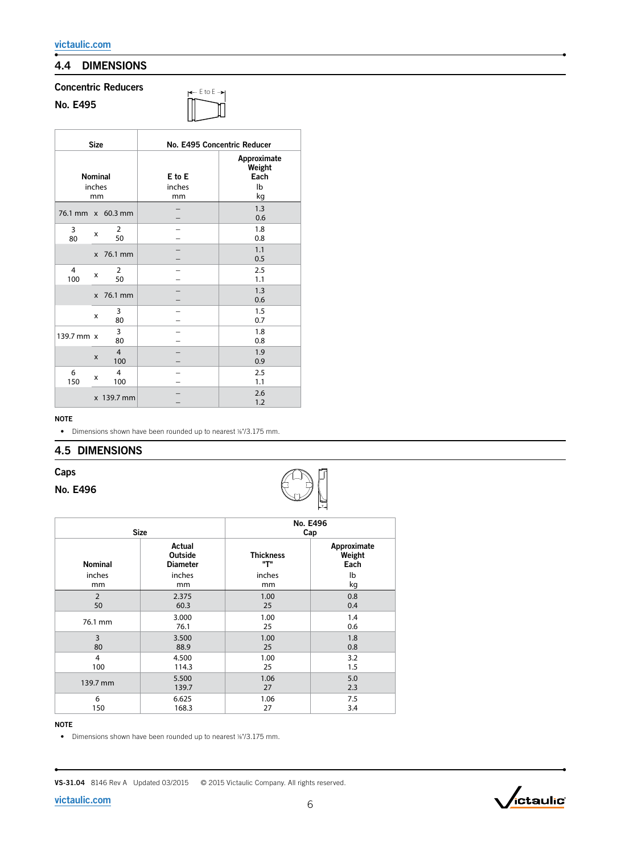# 4.4 DIMENSIONS

### Concentric Reducers

| No. | E495 |
|-----|------|
|-----|------|



| <b>Size</b>                    |              |                       | No. E495 Concentric Reducer |                                           |  |
|--------------------------------|--------------|-----------------------|-----------------------------|-------------------------------------------|--|
| <b>Nominal</b><br>inches<br>mm |              |                       | E to E<br>inches<br>mm      | Approximate<br>Weight<br>Each<br>Ib<br>kg |  |
| 76.1 mm x 60.3 mm              |              |                       |                             | 1.3<br>0.6                                |  |
| 3<br>80                        | x            | 2<br>50               |                             | 1.8<br>0.8                                |  |
|                                | $\mathsf{x}$ | 76.1 mm               |                             | 1.1<br>0.5                                |  |
| 4<br>100                       | x            | 2<br>50               |                             | 2.5<br>1.1                                |  |
|                                | X            | 76.1 mm               |                             | 1.3<br>0.6                                |  |
|                                | x            | 3<br>80               |                             | 1.5<br>0.7                                |  |
| 139.7 mm x                     |              | 3<br>80               |                             | 1.8<br>0.8                                |  |
|                                | $\mathsf{x}$ | $\overline{4}$<br>100 |                             | 1.9<br>0.9                                |  |
| 6<br>150                       | x            | $\overline{4}$<br>100 |                             | 2.5<br>1.1                                |  |
|                                |              | x 139.7 mm            |                             | 2.6<br>1.2                                |  |

#### NOTE

• Dimensions shown have been rounded up to nearest %"/3.175 mm.

# 4.5 DIMENSIONS

#### Caps

#### No. E496



|                | <b>Size</b>                          | No. E496<br>Cap           |                               |  |  |
|----------------|--------------------------------------|---------------------------|-------------------------------|--|--|
| <b>Nominal</b> | Actual<br>Outside<br><b>Diameter</b> | <b>Thickness</b><br>יידיי | Approximate<br>Weight<br>Each |  |  |
| inches         | inches                               | inches                    | lb                            |  |  |
| mm             | mm                                   | mm                        | kg                            |  |  |
| $\overline{2}$ | 2.375                                | 1.00                      | 0.8                           |  |  |
| 50             | 60.3                                 | 25                        | 0.4                           |  |  |
| 76.1 mm        | 3.000                                | 1.00                      | 1.4                           |  |  |
|                | 76.1                                 | 25                        | 0.6                           |  |  |
| 3              | 3.500                                | 1.00                      | 1.8                           |  |  |
| 80             | 88.9                                 | 25                        | 0.8                           |  |  |
| $\overline{4}$ | 4.500                                | 1.00                      | 3.2                           |  |  |
| 100            | 114.3                                | 25                        | 1.5                           |  |  |
| 139.7 mm       | 5.500                                | 1.06                      | 5.0                           |  |  |
|                | 139.7                                | 27                        | 2.3                           |  |  |
| 6              | 6.625                                | 1.06                      | 7.5                           |  |  |
| 150            | 168.3                                | 27                        | 3.4                           |  |  |

#### NOTE

• Dimensions shown have been rounded up to nearest %"/3.175 mm.

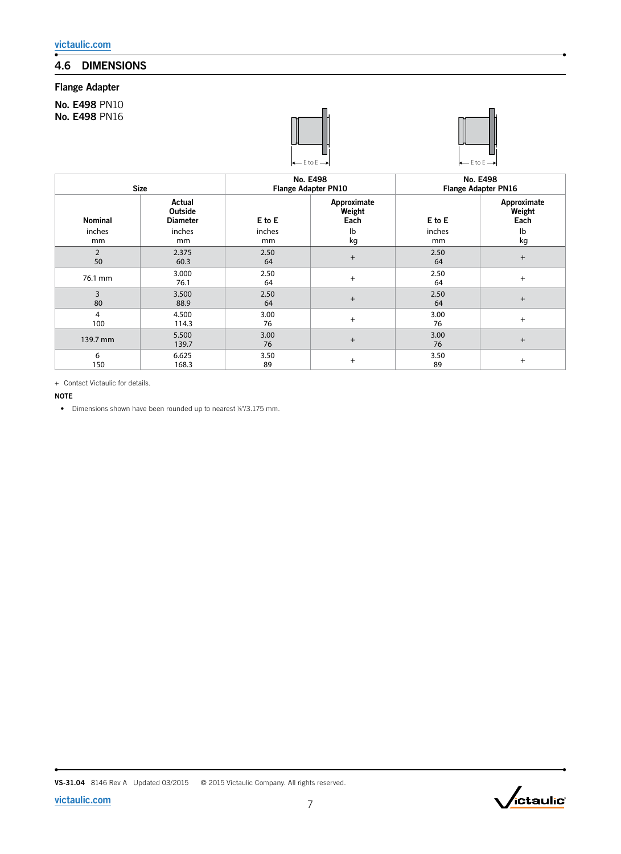# 4.6 DIMENSIONS

# Flange Adapter

No. E498 PN10 No. E498 PN16



![](_page_6_Picture_5.jpeg)

| <b>Size</b>    |                                             | No. E498<br><b>Flange Adapter PN10</b> |                               | No. E498<br><b>Flange Adapter PN16</b> |                               |
|----------------|---------------------------------------------|----------------------------------------|-------------------------------|----------------------------------------|-------------------------------|
| <b>Nominal</b> | Actual<br><b>Outside</b><br><b>Diameter</b> | E to E                                 | Approximate<br>Weight<br>Each | E to E                                 | Approximate<br>Weight<br>Each |
| inches         | inches                                      | inches                                 | lb                            | inches                                 | Ib                            |
| mm             | mm                                          | mm                                     | kg                            | mm                                     | kg                            |
| 2<br>50        | 2.375<br>60.3                               | 2.50<br>64                             | $+$                           | 2.50<br>64                             | $^{+}$                        |
| 76.1 mm        | 3.000<br>76.1                               | 2.50<br>64                             | $+$                           | 2.50<br>64                             | $^{+}$                        |
| 3<br>80        | 3.500<br>88.9                               | 2.50<br>64                             | $^{+}$                        | 2.50<br>64                             | $^{+}$                        |
| 4<br>100       | 4.500<br>114.3                              | 3.00<br>76                             | $+$                           | 3.00<br>76                             | $^{+}$                        |
| 139.7 mm       | 5.500<br>139.7                              | 3.00<br>76                             | $+$                           | 3.00<br>76                             | $^{+}$                        |
| 6<br>150       | 6.625<br>168.3                              | 3.50<br>89                             | $+$                           | 3.50<br>89                             | $^+$                          |

+ Contact Victaulic for details.

#### NOTE

• Dimensions shown have been rounded up to nearest %"/3.175 mm.

![](_page_6_Picture_12.jpeg)